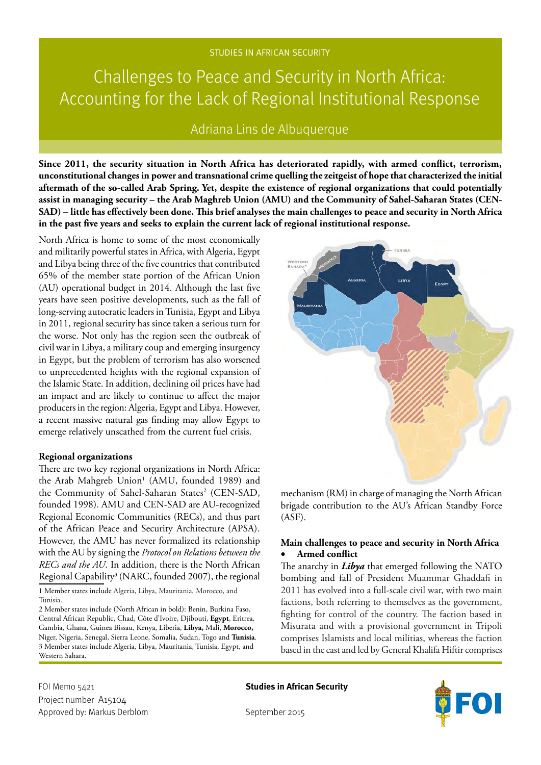# Challenges to Peace and Security in North Africa: Accounting for the Lack of Regional Institutional Response

# Adriana Lins de Albuquerque

**Since 2011, the security situation in North Africa has deteriorated rapidly, with armed conflict, terrorism, unconstitutional changes in power and transnational crime quelling the zeitgeist of hope that characterized the initial aftermath of the so-called Arab Spring. Yet, despite the existence of regional organizations that could potentially assist in managing security – the Arab Maghreb Union (AMU) and the Community of Sahel-Saharan States (CEN-SAD) – little has effectively been done. This brief analyses the main challenges to peace and security in North Africa in the past five years and seeks to explain the current lack of regional institutional response.** 

North Africa is home to some of the most economically and militarily powerful states in Africa, with Algeria, Egypt and Libya being three of the five countries that contributed 65% of the member state portion of the African Union (AU) operational budget in 2014. Although the last five years have seen positive developments, such as the fall of long-serving autocratic leaders in Tunisia, Egypt and Libya in 2011, regional security has since taken a serious turn for the worse. Not only has the region seen the outbreak of civil war in Libya, a military coup and emerging insurgency in Egypt, but the problem of terrorism has also worsened to unprecedented heights with the regional expansion of the Islamic State. In addition, declining oil prices have had an impact and are likely to continue to affect the major producers in the region: Algeria, Egypt and Libya. However, a recent massive natural gas finding may allow Egypt to emerge relatively unscathed from the current fuel crisis.

#### **Regional organizations**

There are two key regional organizations in North Africa: the Arab Mahgreb Union<sup>1</sup> (AMU, founded 1989) and the Community of Sahel-Saharan States<sup>2</sup> (CEN-SAD, founded 1998). AMU and CEN-SAD are AU-recognized Regional Economic Communities (RECs), and thus part of the African Peace and Security Architecture (APSA). However, the AMU has never formalized its relationship with the AU by signing the *Protocol on Relations between the RECs and the AU*. In addition, there is the North African Regional Capability<sup>3</sup> (NARC, founded 2007), the regional

1 Member states include Algeria, Libya, Mauritania, Morocco, and Tunisia.

2 Member states include (North African in bold): Benin, Burkina Faso, Central African Republic, Chad, Côte d'Ivoire, Djibouti, **Egypt**, Eritrea, Gambia, Ghana, Guinea Bissau, Kenya, Liberia, **Libya,** Mali, **Morocco,** Niger, Nigeria, Senegal, Sierra Leone, Somalia, Sudan, Togo and **Tunisia**. 3 Member states include Algeria, Libya, Mauritania, Tunisia, Egypt, and Western Sahara.



mechanism (RM) in charge of managing the North African brigade contribution to the AU's African Standby Force (ASF).

## **Main challenges to peace and security in North Africa** • **Armed conflict**

The anarchy in *Libya* that emerged following the NATO bombing and fall of President Muammar Ghaddafi in 2011 has evolved into a full-scale civil war, with two main factions, both referring to themselves as the government, fighting for control of the country. The faction based in Misurata and with a provisional government in Tripoli comprises Islamists and local militias, whereas the faction based in the east and led by General Khalifa Hiftir comprises

FOI Memo 5421 **Studies in African Security** Project number A15104 Approved by: Markus Derblom September 2015